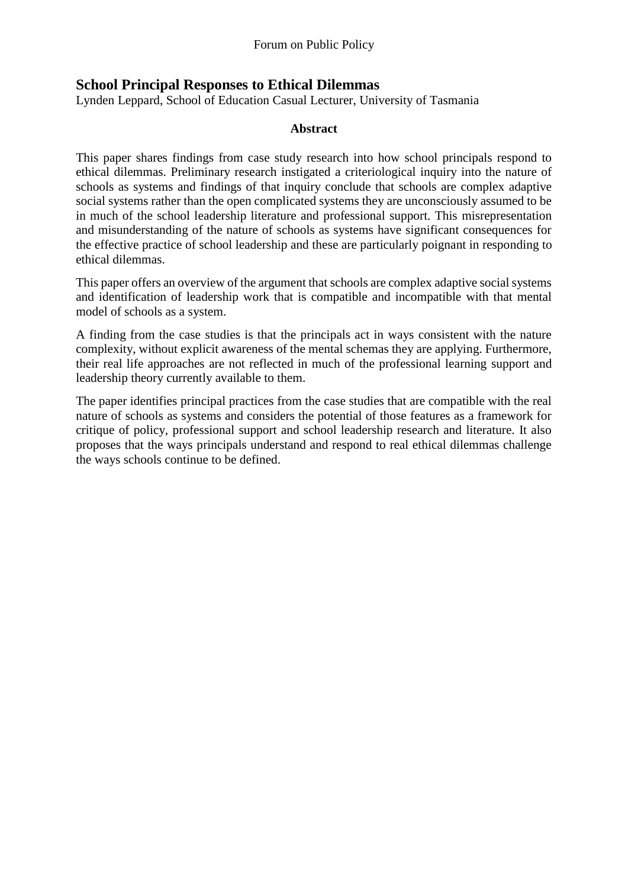## **School Principal Responses to Ethical Dilemmas**

Lynden Leppard, School of Education Casual Lecturer, University of Tasmania

#### **Abstract**

This paper shares findings from case study research into how school principals respond to ethical dilemmas. Preliminary research instigated a criteriological inquiry into the nature of schools as systems and findings of that inquiry conclude that schools are complex adaptive social systems rather than the open complicated systems they are unconsciously assumed to be in much of the school leadership literature and professional support. This misrepresentation and misunderstanding of the nature of schools as systems have significant consequences for the effective practice of school leadership and these are particularly poignant in responding to ethical dilemmas.

This paper offers an overview of the argument that schools are complex adaptive social systems and identification of leadership work that is compatible and incompatible with that mental model of schools as a system.

A finding from the case studies is that the principals act in ways consistent with the nature complexity, without explicit awareness of the mental schemas they are applying. Furthermore, their real life approaches are not reflected in much of the professional learning support and leadership theory currently available to them.

The paper identifies principal practices from the case studies that are compatible with the real nature of schools as systems and considers the potential of those features as a framework for critique of policy, professional support and school leadership research and literature. It also proposes that the ways principals understand and respond to real ethical dilemmas challenge the ways schools continue to be defined.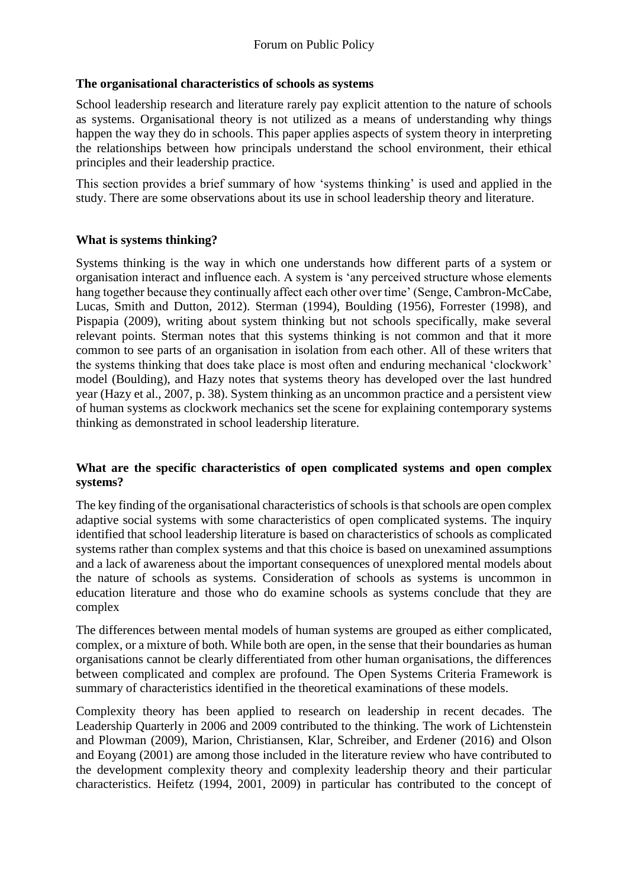## **The organisational characteristics of schools as systems**

School leadership research and literature rarely pay explicit attention to the nature of schools as systems. Organisational theory is not utilized as a means of understanding why things happen the way they do in schools. This paper applies aspects of system theory in interpreting the relationships between how principals understand the school environment, their ethical principles and their leadership practice.

This section provides a brief summary of how 'systems thinking' is used and applied in the study. There are some observations about its use in school leadership theory and literature.

#### **What is systems thinking?**

Systems thinking is the way in which one understands how different parts of a system or organisation interact and influence each. A system is 'any perceived structure whose elements hang together because they continually affect each other over time' (Senge, Cambron-McCabe, Lucas, Smith and Dutton, 2012). Sterman (1994), Boulding (1956), Forrester (1998), and Pispapia (2009), writing about system thinking but not schools specifically, make several relevant points. Sterman notes that this systems thinking is not common and that it more common to see parts of an organisation in isolation from each other. All of these writers that the systems thinking that does take place is most often and enduring mechanical 'clockwork' model (Boulding), and Hazy notes that systems theory has developed over the last hundred year (Hazy et al., 2007, p. 38). System thinking as an uncommon practice and a persistent view of human systems as clockwork mechanics set the scene for explaining contemporary systems thinking as demonstrated in school leadership literature.

#### **What are the specific characteristics of open complicated systems and open complex systems?**

The key finding of the organisational characteristics of schools is that schools are open complex adaptive social systems with some characteristics of open complicated systems. The inquiry identified that school leadership literature is based on characteristics of schools as complicated systems rather than complex systems and that this choice is based on unexamined assumptions and a lack of awareness about the important consequences of unexplored mental models about the nature of schools as systems. Consideration of schools as systems is uncommon in education literature and those who do examine schools as systems conclude that they are complex

The differences between mental models of human systems are grouped as either complicated, complex, or a mixture of both. While both are open, in the sense that their boundaries as human organisations cannot be clearly differentiated from other human organisations, the differences between complicated and complex are profound. The Open Systems Criteria Framework is summary of characteristics identified in the theoretical examinations of these models.

Complexity theory has been applied to research on leadership in recent decades. The Leadership Quarterly in 2006 and 2009 contributed to the thinking. The work of Lichtenstein and Plowman (2009), Marion, Christiansen, Klar, Schreiber, and Erdener (2016) and Olson and Eoyang (2001) are among those included in the literature review who have contributed to the development complexity theory and complexity leadership theory and their particular characteristics. Heifetz (1994, 2001, 2009) in particular has contributed to the concept of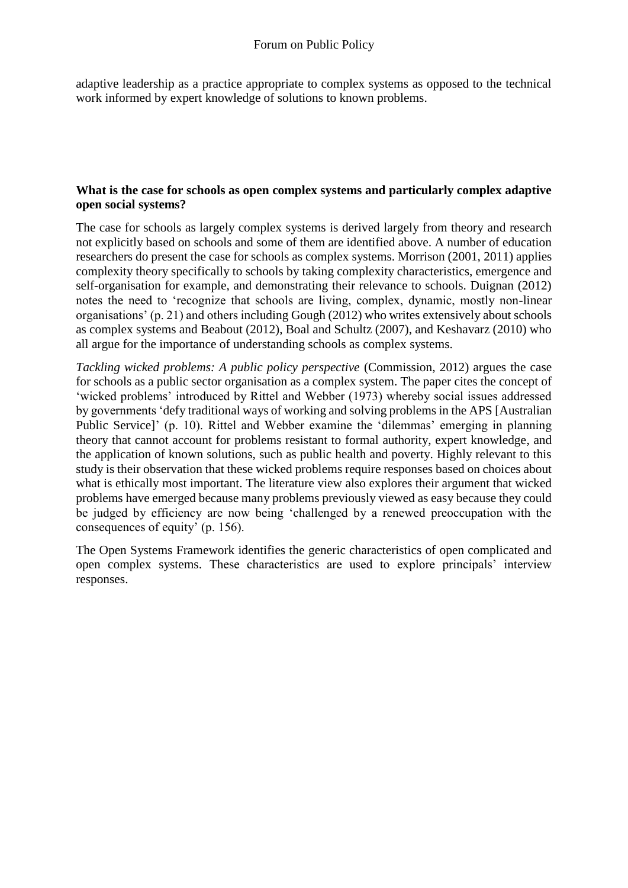adaptive leadership as a practice appropriate to complex systems as opposed to the technical work informed by expert knowledge of solutions to known problems.

#### **What is the case for schools as open complex systems and particularly complex adaptive open social systems?**

The case for schools as largely complex systems is derived largely from theory and research not explicitly based on schools and some of them are identified above. A number of education researchers do present the case for schools as complex systems. Morrison (2001, 2011) applies complexity theory specifically to schools by taking complexity characteristics, emergence and self-organisation for example, and demonstrating their relevance to schools. Duignan (2012) notes the need to 'recognize that schools are living, complex, dynamic, mostly non-linear organisations' (p. 21) and others including Gough (2012) who writes extensively about schools as complex systems and Beabout (2012), Boal and Schultz (2007), and Keshavarz (2010) who all argue for the importance of understanding schools as complex systems.

*Tackling wicked problems: A public policy perspective* (Commission, 2012) argues the case for schools as a public sector organisation as a complex system. The paper cites the concept of 'wicked problems' introduced by Rittel and Webber (1973) whereby social issues addressed by governments 'defy traditional ways of working and solving problems in the APS [Australian Public Service]' (p. 10). Rittel and Webber examine the 'dilemmas' emerging in planning theory that cannot account for problems resistant to formal authority, expert knowledge, and the application of known solutions, such as public health and poverty. Highly relevant to this study is their observation that these wicked problems require responses based on choices about what is ethically most important. The literature view also explores their argument that wicked problems have emerged because many problems previously viewed as easy because they could be judged by efficiency are now being 'challenged by a renewed preoccupation with the consequences of equity' (p. 156).

The Open Systems Framework identifies the generic characteristics of open complicated and open complex systems. These characteristics are used to explore principals' interview responses.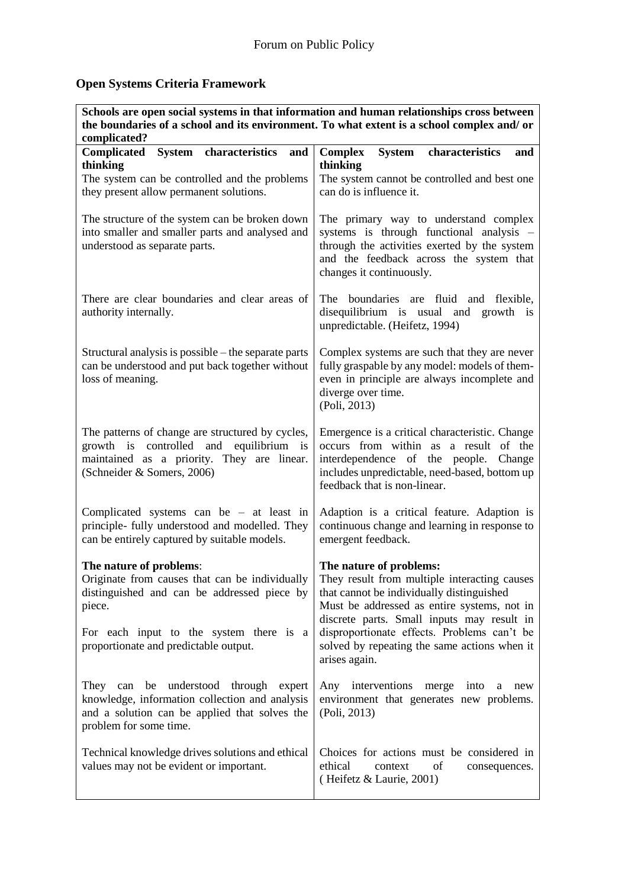# **Open Systems Criteria Framework**

| Schools are open social systems in that information and human relationships cross between<br>the boundaries of a school and its environment. To what extent is a school complex and/ or                                |                                                                                                                                                                                                                                                                                                                                   |
|------------------------------------------------------------------------------------------------------------------------------------------------------------------------------------------------------------------------|-----------------------------------------------------------------------------------------------------------------------------------------------------------------------------------------------------------------------------------------------------------------------------------------------------------------------------------|
| complicated?<br>System characteristics and<br><b>Complicated</b>                                                                                                                                                       | System characteristics<br>and                                                                                                                                                                                                                                                                                                     |
| thinking                                                                                                                                                                                                               | <b>Complex</b><br>thinking                                                                                                                                                                                                                                                                                                        |
| The system can be controlled and the problems                                                                                                                                                                          | The system cannot be controlled and best one                                                                                                                                                                                                                                                                                      |
| they present allow permanent solutions.                                                                                                                                                                                | can do is influence it.                                                                                                                                                                                                                                                                                                           |
| The structure of the system can be broken down<br>into smaller and smaller parts and analysed and<br>understood as separate parts.                                                                                     | The primary way to understand complex<br>systems is through functional analysis -<br>through the activities exerted by the system<br>and the feedback across the system that<br>changes it continuously.                                                                                                                          |
| There are clear boundaries and clear areas of<br>authority internally.                                                                                                                                                 | The boundaries are fluid and flexible,<br>disequilibrium is usual and growth is<br>unpredictable. (Heifetz, 1994)                                                                                                                                                                                                                 |
| Structural analysis is possible – the separate parts<br>can be understood and put back together without<br>loss of meaning.                                                                                            | Complex systems are such that they are never<br>fully graspable by any model: models of them-<br>even in principle are always incomplete and<br>diverge over time.<br>(Poli, 2013)                                                                                                                                                |
| The patterns of change are structured by cycles,<br>growth is controlled and<br>equilibrium is<br>maintained as a priority. They are linear.<br>(Schneider & Somers, 2006)                                             | Emergence is a critical characteristic. Change<br>occurs from within as a result of the<br>interdependence of the people.<br>Change<br>includes unpredictable, need-based, bottom up<br>feedback that is non-linear.                                                                                                              |
| Complicated systems can be $-$ at least in<br>principle- fully understood and modelled. They<br>can be entirely captured by suitable models.                                                                           | Adaption is a critical feature. Adaption is<br>continuous change and learning in response to<br>emergent feedback.                                                                                                                                                                                                                |
| The nature of problems:<br>Originate from causes that can be individually<br>distinguished and can be addressed piece by<br>piece.<br>For each input to the system there is a<br>proportionate and predictable output. | The nature of problems:<br>They result from multiple interacting causes<br>that cannot be individually distinguished<br>Must be addressed as entire systems, not in<br>discrete parts. Small inputs may result in<br>disproportionate effects. Problems can't be<br>solved by repeating the same actions when it<br>arises again. |
| be understood through expert<br>They can<br>knowledge, information collection and analysis<br>and a solution can be applied that solves the<br>problem for some time.                                                  | Any interventions<br>merge into<br>a<br>new<br>environment that generates new problems.<br>(Poli, 2013)                                                                                                                                                                                                                           |
| Technical knowledge drives solutions and ethical<br>values may not be evident or important.                                                                                                                            | Choices for actions must be considered in<br>ethical<br>of<br>context<br>consequences.<br>(Heifetz & Laurie, 2001)                                                                                                                                                                                                                |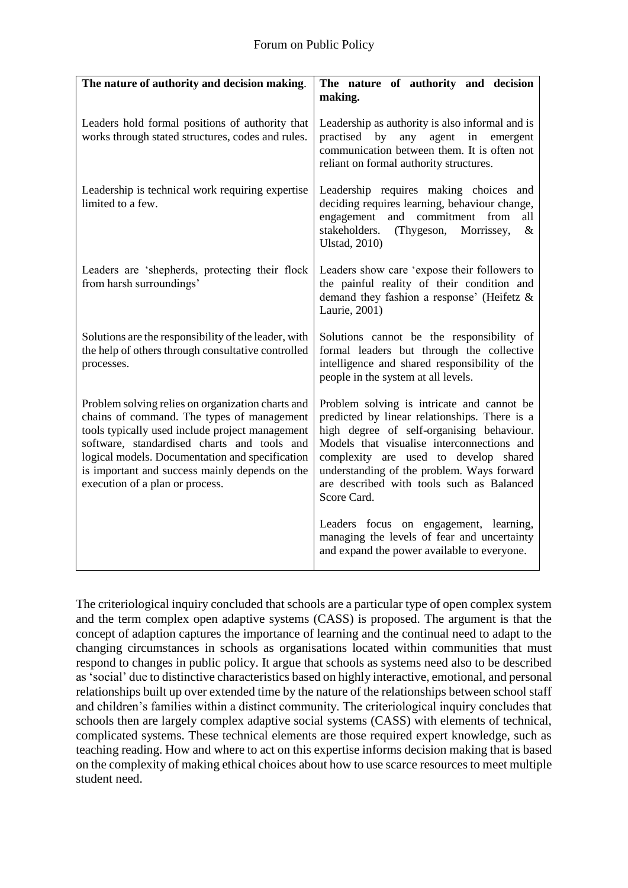| The nature of authority and decision making.                                                                                                                                                                                                                                                                                              | The nature of authority and decision<br>making.                                                                                                                                                                                                                                                                                           |
|-------------------------------------------------------------------------------------------------------------------------------------------------------------------------------------------------------------------------------------------------------------------------------------------------------------------------------------------|-------------------------------------------------------------------------------------------------------------------------------------------------------------------------------------------------------------------------------------------------------------------------------------------------------------------------------------------|
| Leaders hold formal positions of authority that<br>works through stated structures, codes and rules.                                                                                                                                                                                                                                      | Leadership as authority is also informal and is<br>practised by any<br>agent in emergent<br>communication between them. It is often not<br>reliant on formal authority structures.                                                                                                                                                        |
| Leadership is technical work requiring expertise<br>limited to a few.                                                                                                                                                                                                                                                                     | Leadership requires making choices and<br>deciding requires learning, behaviour change,<br>engagement and commitment from<br>all<br>stakeholders. (Thygeson,<br>Morrissey,<br>$\&$<br><b>Ulstad, 2010)</b>                                                                                                                                |
| Leaders are 'shepherds, protecting their flock<br>from harsh surroundings'                                                                                                                                                                                                                                                                | Leaders show care 'expose their followers to<br>the painful reality of their condition and<br>demand they fashion a response' (Heifetz &<br>Laurie, 2001)                                                                                                                                                                                 |
| Solutions are the responsibility of the leader, with<br>the help of others through consultative controlled<br>processes.                                                                                                                                                                                                                  | Solutions cannot be the responsibility of<br>formal leaders but through the collective<br>intelligence and shared responsibility of the<br>people in the system at all levels.                                                                                                                                                            |
| Problem solving relies on organization charts and<br>chains of command. The types of management<br>tools typically used include project management<br>software, standardised charts and tools and<br>logical models. Documentation and specification<br>is important and success mainly depends on the<br>execution of a plan or process. | Problem solving is intricate and cannot be<br>predicted by linear relationships. There is a<br>high degree of self-organising behaviour.<br>Models that visualise interconnections and<br>complexity are used to develop shared<br>understanding of the problem. Ways forward<br>are described with tools such as Balanced<br>Score Card. |
|                                                                                                                                                                                                                                                                                                                                           | Leaders focus on engagement, learning,<br>managing the levels of fear and uncertainty<br>and expand the power available to everyone.                                                                                                                                                                                                      |

The criteriological inquiry concluded that schools are a particular type of open complex system and the term complex open adaptive systems (CASS) is proposed. The argument is that the concept of adaption captures the importance of learning and the continual need to adapt to the changing circumstances in schools as organisations located within communities that must respond to changes in public policy. It argue that schools as systems need also to be described as 'social' due to distinctive characteristics based on highly interactive, emotional, and personal relationships built up over extended time by the nature of the relationships between school staff and children's families within a distinct community. The criteriological inquiry concludes that schools then are largely complex adaptive social systems (CASS) with elements of technical, complicated systems. These technical elements are those required expert knowledge, such as teaching reading. How and where to act on this expertise informs decision making that is based on the complexity of making ethical choices about how to use scarce resources to meet multiple student need.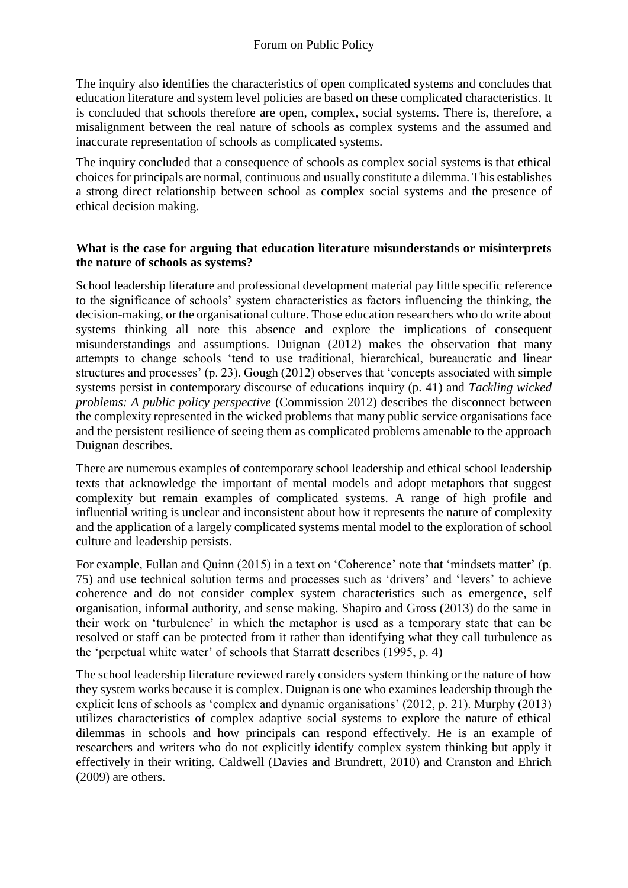The inquiry also identifies the characteristics of open complicated systems and concludes that education literature and system level policies are based on these complicated characteristics. It is concluded that schools therefore are open, complex, social systems. There is, therefore, a misalignment between the real nature of schools as complex systems and the assumed and inaccurate representation of schools as complicated systems.

The inquiry concluded that a consequence of schools as complex social systems is that ethical choices for principals are normal, continuous and usually constitute a dilemma. This establishes a strong direct relationship between school as complex social systems and the presence of ethical decision making.

#### **What is the case for arguing that education literature misunderstands or misinterprets the nature of schools as systems?**

School leadership literature and professional development material pay little specific reference to the significance of schools' system characteristics as factors influencing the thinking, the decision-making, or the organisational culture. Those education researchers who do write about systems thinking all note this absence and explore the implications of consequent misunderstandings and assumptions. Duignan (2012) makes the observation that many attempts to change schools 'tend to use traditional, hierarchical, bureaucratic and linear structures and processes' (p. 23). Gough (2012) observes that 'concepts associated with simple systems persist in contemporary discourse of educations inquiry (p. 41) and *Tackling wicked problems: A public policy perspective* (Commission 2012) describes the disconnect between the complexity represented in the wicked problems that many public service organisations face and the persistent resilience of seeing them as complicated problems amenable to the approach Duignan describes.

There are numerous examples of contemporary school leadership and ethical school leadership texts that acknowledge the important of mental models and adopt metaphors that suggest complexity but remain examples of complicated systems. A range of high profile and influential writing is unclear and inconsistent about how it represents the nature of complexity and the application of a largely complicated systems mental model to the exploration of school culture and leadership persists.

For example, Fullan and Quinn (2015) in a text on 'Coherence' note that 'mindsets matter' (p. 75) and use technical solution terms and processes such as 'drivers' and 'levers' to achieve coherence and do not consider complex system characteristics such as emergence, self organisation, informal authority, and sense making. Shapiro and Gross (2013) do the same in their work on 'turbulence' in which the metaphor is used as a temporary state that can be resolved or staff can be protected from it rather than identifying what they call turbulence as the 'perpetual white water' of schools that Starratt describes (1995, p. 4)

The school leadership literature reviewed rarely considers system thinking or the nature of how they system works because it is complex. Duignan is one who examines leadership through the explicit lens of schools as 'complex and dynamic organisations' (2012, p. 21). Murphy (2013) utilizes characteristics of complex adaptive social systems to explore the nature of ethical dilemmas in schools and how principals can respond effectively. He is an example of researchers and writers who do not explicitly identify complex system thinking but apply it effectively in their writing. Caldwell (Davies and Brundrett, 2010) and Cranston and Ehrich (2009) are others.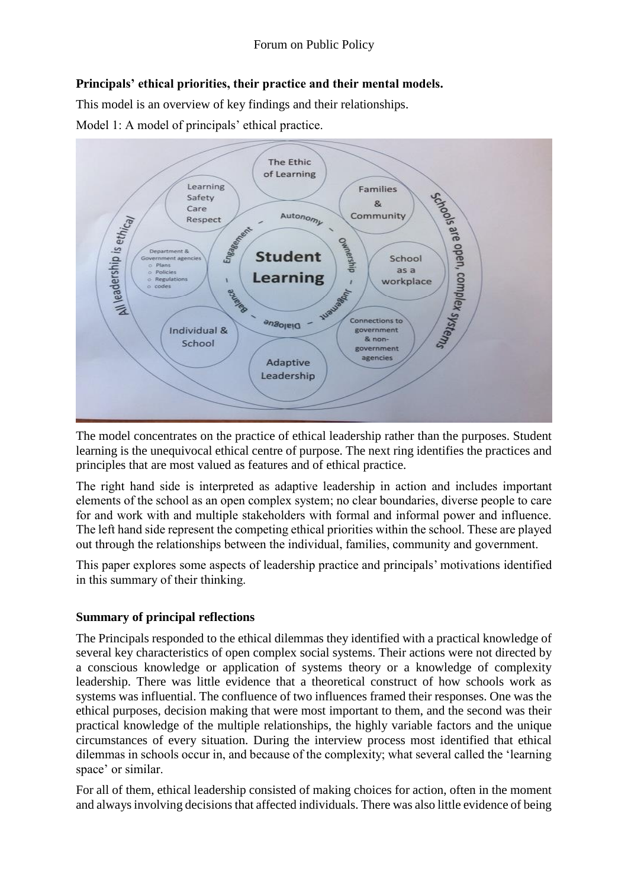## **Principals' ethical priorities, their practice and their mental models.**

This model is an overview of key findings and their relationships.

Model 1: A model of principals' ethical practice.



The model concentrates on the practice of ethical leadership rather than the purposes. Student learning is the unequivocal ethical centre of purpose. The next ring identifies the practices and principles that are most valued as features and of ethical practice.

The right hand side is interpreted as adaptive leadership in action and includes important elements of the school as an open complex system; no clear boundaries, diverse people to care for and work with and multiple stakeholders with formal and informal power and influence. The left hand side represent the competing ethical priorities within the school. These are played out through the relationships between the individual, families, community and government.

This paper explores some aspects of leadership practice and principals' motivations identified in this summary of their thinking.

## **Summary of principal reflections**

The Principals responded to the ethical dilemmas they identified with a practical knowledge of several key characteristics of open complex social systems. Their actions were not directed by a conscious knowledge or application of systems theory or a knowledge of complexity leadership. There was little evidence that a theoretical construct of how schools work as systems was influential. The confluence of two influences framed their responses. One was the ethical purposes, decision making that were most important to them, and the second was their practical knowledge of the multiple relationships, the highly variable factors and the unique circumstances of every situation. During the interview process most identified that ethical dilemmas in schools occur in, and because of the complexity; what several called the 'learning space' or similar.

For all of them, ethical leadership consisted of making choices for action, often in the moment and always involving decisions that affected individuals. There was also little evidence of being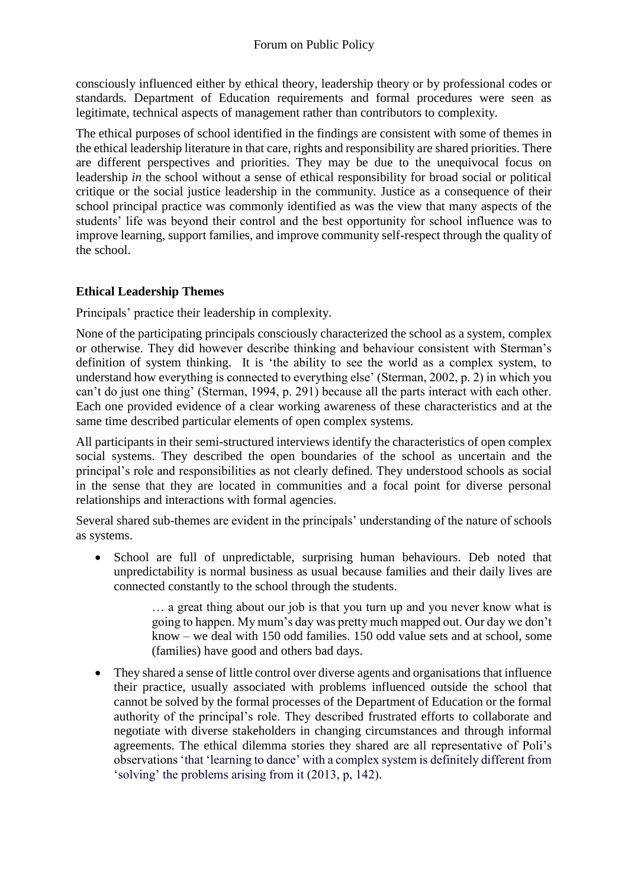consciously influenced either by ethical theory, leadership theory or by professional codes or standards. Department of Education requirements and formal procedures were seen as legitimate, technical aspects of management rather than contributors to complexity.

The ethical purposes of school identified in the findings are consistent with some of themes in the ethical leadership literature in that care, rights and responsibility are shared priorities. There are different perspectives and priorities. They may be due to the unequivocal focus on leadership *in* the school without a sense of ethical responsibility for broad social or political critique or the social justice leadership in the community. Justice as a consequence of their school principal practice was commonly identified as was the view that many aspects of the students' life was beyond their control and the best opportunity for school influence was to improve learning, support families, and improve community self-respect through the quality of the school.

## **Ethical Leadership Themes**

Principals' practice their leadership in complexity.

None of the participating principals consciously characterized the school as a system, complex or otherwise. They did however describe thinking and behaviour consistent with Sterman's definition of system thinking. It is 'the ability to see the world as a complex system, to understand how everything is connected to everything else' (Sterman, 2002, p. 2) in which you can't do just one thing' (Sterman, 1994, p. 291) because all the parts interact with each other. Each one provided evidence of a clear working awareness of these characteristics and at the same time described particular elements of open complex systems.

All participants in their semi-structured interviews identify the characteristics of open complex social systems. They described the open boundaries of the school as uncertain and the principal's role and responsibilities as not clearly defined. They understood schools as social in the sense that they are located in communities and a focal point for diverse personal relationships and interactions with formal agencies.

Several shared sub-themes are evident in the principals' understanding of the nature of schools as systems.

• School are full of unpredictable, surprising human behaviours. Deb noted that unpredictability is normal business as usual because families and their daily lives are connected constantly to the school through the students.

> … a great thing about our job is that you turn up and you never know what is going to happen. My mum's day was pretty much mapped out. Our day we don't know – we deal with 150 odd families. 150 odd value sets and at school, some (families) have good and others bad days.

• They shared a sense of little control over diverse agents and organisations that influence their practice, usually associated with problems influenced outside the school that cannot be solved by the formal processes of the Department of Education or the formal authority of the principal's role. They described frustrated efforts to collaborate and negotiate with diverse stakeholders in changing circumstances and through informal agreements. The ethical dilemma stories they shared are all representative of Poli's observations 'that 'learning to dance' with a complex system is definitely different from 'solving' the problems arising from it (2013, p, 142).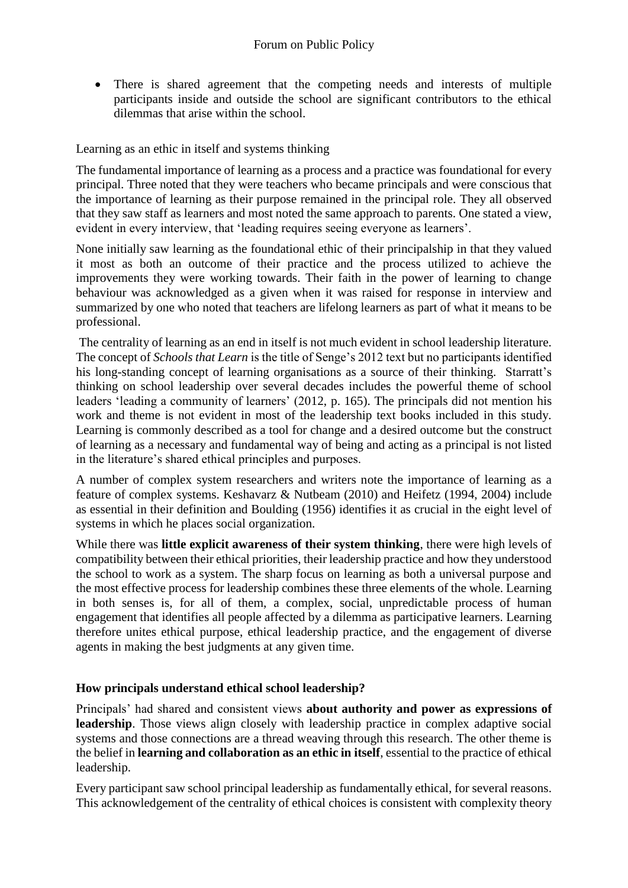• There is shared agreement that the competing needs and interests of multiple participants inside and outside the school are significant contributors to the ethical dilemmas that arise within the school.

Learning as an ethic in itself and systems thinking

The fundamental importance of learning as a process and a practice was foundational for every principal. Three noted that they were teachers who became principals and were conscious that the importance of learning as their purpose remained in the principal role. They all observed that they saw staff as learners and most noted the same approach to parents. One stated a view, evident in every interview, that 'leading requires seeing everyone as learners'.

None initially saw learning as the foundational ethic of their principalship in that they valued it most as both an outcome of their practice and the process utilized to achieve the improvements they were working towards. Their faith in the power of learning to change behaviour was acknowledged as a given when it was raised for response in interview and summarized by one who noted that teachers are lifelong learners as part of what it means to be professional.

The centrality of learning as an end in itself is not much evident in school leadership literature. The concept of *Schools that Learn* is the title of Senge's 2012 text but no participants identified his long-standing concept of learning organisations as a source of their thinking. Starratt's thinking on school leadership over several decades includes the powerful theme of school leaders 'leading a community of learners' (2012, p. 165). The principals did not mention his work and theme is not evident in most of the leadership text books included in this study. Learning is commonly described as a tool for change and a desired outcome but the construct of learning as a necessary and fundamental way of being and acting as a principal is not listed in the literature's shared ethical principles and purposes.

A number of complex system researchers and writers note the importance of learning as a feature of complex systems. Keshavarz & Nutbeam (2010) and Heifetz (1994, 2004) include as essential in their definition and Boulding (1956) identifies it as crucial in the eight level of systems in which he places social organization.

While there was **little explicit awareness of their system thinking**, there were high levels of compatibility between their ethical priorities, their leadership practice and how they understood the school to work as a system. The sharp focus on learning as both a universal purpose and the most effective process for leadership combines these three elements of the whole. Learning in both senses is, for all of them, a complex, social, unpredictable process of human engagement that identifies all people affected by a dilemma as participative learners. Learning therefore unites ethical purpose, ethical leadership practice, and the engagement of diverse agents in making the best judgments at any given time.

## **How principals understand ethical school leadership?**

Principals' had shared and consistent views **about authority and power as expressions of leadership**. Those views align closely with leadership practice in complex adaptive social systems and those connections are a thread weaving through this research. The other theme is the belief in **learning and collaboration as an ethic in itself**, essential to the practice of ethical leadership.

Every participant saw school principal leadership as fundamentally ethical, for several reasons. This acknowledgement of the centrality of ethical choices is consistent with complexity theory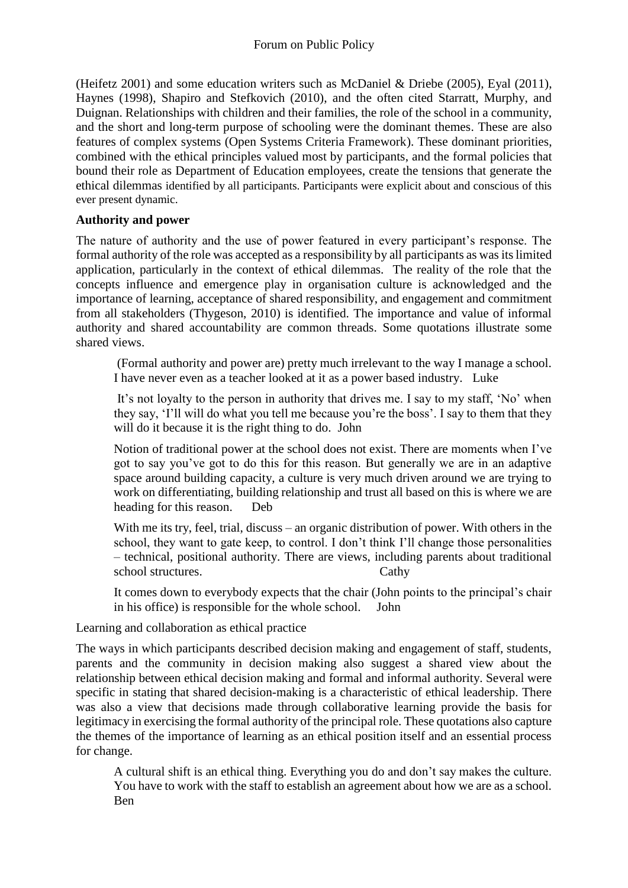(Heifetz 2001) and some education writers such as McDaniel & Driebe (2005), Eyal (2011), Haynes (1998), Shapiro and Stefkovich (2010), and the often cited Starratt, Murphy, and Duignan. Relationships with children and their families, the role of the school in a community, and the short and long-term purpose of schooling were the dominant themes. These are also features of complex systems (Open Systems Criteria Framework). These dominant priorities, combined with the ethical principles valued most by participants, and the formal policies that bound their role as Department of Education employees, create the tensions that generate the ethical dilemmas identified by all participants. Participants were explicit about and conscious of this ever present dynamic.

## **Authority and power**

The nature of authority and the use of power featured in every participant's response. The formal authority of the role was accepted as a responsibility by all participants as was its limited application, particularly in the context of ethical dilemmas. The reality of the role that the concepts influence and emergence play in organisation culture is acknowledged and the importance of learning, acceptance of shared responsibility, and engagement and commitment from all stakeholders (Thygeson, 2010) is identified. The importance and value of informal authority and shared accountability are common threads. Some quotations illustrate some shared views.

(Formal authority and power are) pretty much irrelevant to the way I manage a school. I have never even as a teacher looked at it as a power based industry. Luke

It's not loyalty to the person in authority that drives me. I say to my staff, 'No' when they say, 'I'll will do what you tell me because you're the boss'. I say to them that they will do it because it is the right thing to do. John

Notion of traditional power at the school does not exist. There are moments when I've got to say you've got to do this for this reason. But generally we are in an adaptive space around building capacity, a culture is very much driven around we are trying to work on differentiating, building relationship and trust all based on this is where we are heading for this reason. Deb

With me its try, feel, trial, discuss – an organic distribution of power. With others in the school, they want to gate keep, to control. I don't think I'll change those personalities – technical, positional authority. There are views, including parents about traditional school structures. Cathy

It comes down to everybody expects that the chair (John points to the principal's chair in his office) is responsible for the whole school. John

Learning and collaboration as ethical practice

The ways in which participants described decision making and engagement of staff, students, parents and the community in decision making also suggest a shared view about the relationship between ethical decision making and formal and informal authority. Several were specific in stating that shared decision-making is a characteristic of ethical leadership. There was also a view that decisions made through collaborative learning provide the basis for legitimacy in exercising the formal authority of the principal role. These quotations also capture the themes of the importance of learning as an ethical position itself and an essential process for change.

A cultural shift is an ethical thing. Everything you do and don't say makes the culture. You have to work with the staff to establish an agreement about how we are as a school. Ben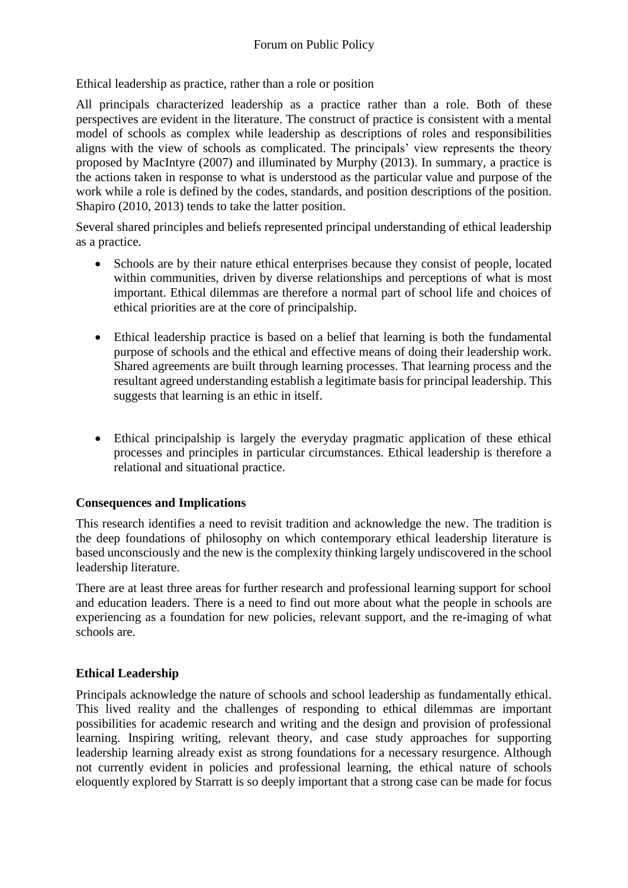Ethical leadership as practice, rather than a role or position

All principals characterized leadership as a practice rather than a role. Both of these perspectives are evident in the literature. The construct of practice is consistent with a mental model of schools as complex while leadership as descriptions of roles and responsibilities aligns with the view of schools as complicated. The principals' view represents the theory proposed by MacIntyre (2007) and illuminated by Murphy (2013). In summary, a practice is the actions taken in response to what is understood as the particular value and purpose of the work while a role is defined by the codes, standards, and position descriptions of the position. Shapiro (2010, 2013) tends to take the latter position.

Several shared principles and beliefs represented principal understanding of ethical leadership as a practice.

- Schools are by their nature ethical enterprises because they consist of people, located within communities, driven by diverse relationships and perceptions of what is most important. Ethical dilemmas are therefore a normal part of school life and choices of ethical priorities are at the core of principalship.
- Ethical leadership practice is based on a belief that learning is both the fundamental purpose of schools and the ethical and effective means of doing their leadership work. Shared agreements are built through learning processes. That learning process and the resultant agreed understanding establish a legitimate basis for principal leadership. This suggests that learning is an ethic in itself.
- Ethical principalship is largely the everyday pragmatic application of these ethical processes and principles in particular circumstances. Ethical leadership is therefore a relational and situational practice.

## **Consequences and Implications**

This research identifies a need to revisit tradition and acknowledge the new. The tradition is the deep foundations of philosophy on which contemporary ethical leadership literature is based unconsciously and the new is the complexity thinking largely undiscovered in the school leadership literature.

There are at least three areas for further research and professional learning support for school and education leaders. There is a need to find out more about what the people in schools are experiencing as a foundation for new policies, relevant support, and the re-imaging of what schools are.

## **Ethical Leadership**

Principals acknowledge the nature of schools and school leadership as fundamentally ethical. This lived reality and the challenges of responding to ethical dilemmas are important possibilities for academic research and writing and the design and provision of professional learning. Inspiring writing, relevant theory, and case study approaches for supporting leadership learning already exist as strong foundations for a necessary resurgence. Although not currently evident in policies and professional learning, the ethical nature of schools eloquently explored by Starratt is so deeply important that a strong case can be made for focus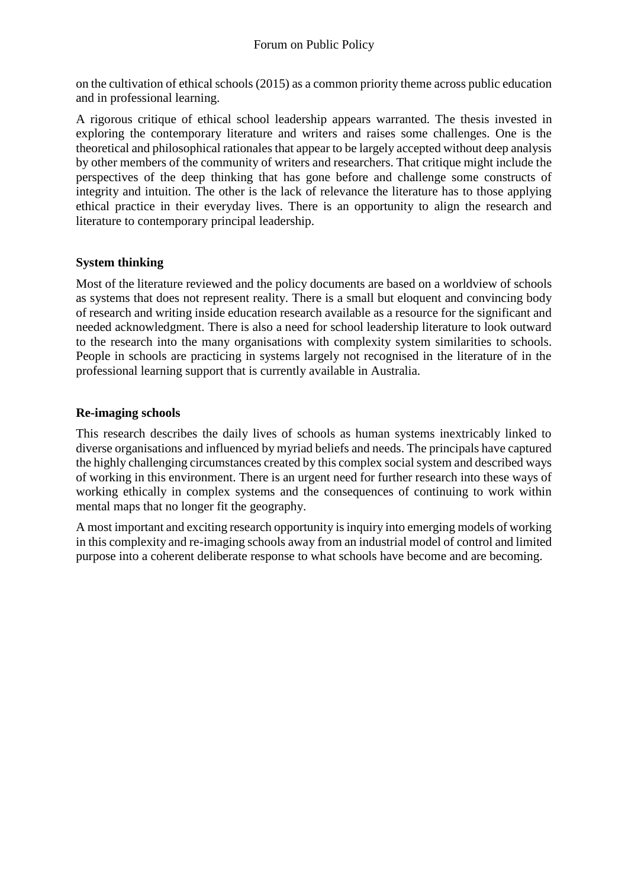on the cultivation of ethical schools (2015) as a common priority theme across public education and in professional learning.

A rigorous critique of ethical school leadership appears warranted. The thesis invested in exploring the contemporary literature and writers and raises some challenges. One is the theoretical and philosophical rationales that appear to be largely accepted without deep analysis by other members of the community of writers and researchers. That critique might include the perspectives of the deep thinking that has gone before and challenge some constructs of integrity and intuition. The other is the lack of relevance the literature has to those applying ethical practice in their everyday lives. There is an opportunity to align the research and literature to contemporary principal leadership.

## **System thinking**

Most of the literature reviewed and the policy documents are based on a worldview of schools as systems that does not represent reality. There is a small but eloquent and convincing body of research and writing inside education research available as a resource for the significant and needed acknowledgment. There is also a need for school leadership literature to look outward to the research into the many organisations with complexity system similarities to schools. People in schools are practicing in systems largely not recognised in the literature of in the professional learning support that is currently available in Australia.

## **Re-imaging schools**

This research describes the daily lives of schools as human systems inextricably linked to diverse organisations and influenced by myriad beliefs and needs. The principals have captured the highly challenging circumstances created by this complex social system and described ways of working in this environment. There is an urgent need for further research into these ways of working ethically in complex systems and the consequences of continuing to work within mental maps that no longer fit the geography.

A most important and exciting research opportunity is inquiry into emerging models of working in this complexity and re-imaging schools away from an industrial model of control and limited purpose into a coherent deliberate response to what schools have become and are becoming.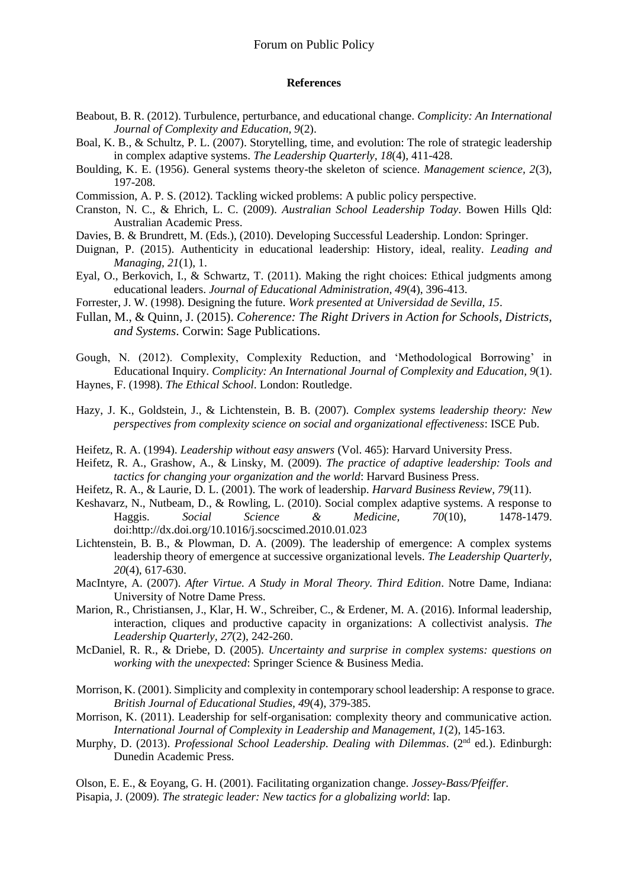#### **References**

- Beabout, B. R. (2012). Turbulence, perturbance, and educational change. *Complicity: An International Journal of Complexity and Education, 9*(2).
- Boal, K. B., & Schultz, P. L. (2007). Storytelling, time, and evolution: The role of strategic leadership in complex adaptive systems. *The Leadership Quarterly, 18*(4), 411-428.
- Boulding, K. E. (1956). General systems theory-the skeleton of science. *Management science, 2*(3), 197-208.
- Commission, A. P. S. (2012). Tackling wicked problems: A public policy perspective.
- Cranston, N. C., & Ehrich, L. C. (2009). *Australian School Leadership Today*. Bowen Hills Qld: Australian Academic Press.
- Davies, B. & Brundrett, M. (Eds.), (2010). Developing Successful Leadership. London: Springer.
- Duignan, P. (2015). Authenticity in educational leadership: History, ideal, reality. *Leading and Managing, 21*(1), 1.
- Eyal, O., Berkovich, I., & Schwartz, T. (2011). Making the right choices: Ethical judgments among educational leaders. *Journal of Educational Administration, 49*(4), 396-413.
- Forrester, J. W. (1998). Designing the future. *Work presented at Universidad de Sevilla, 15*.
- Fullan, M., & Quinn, J. (2015). *Coherence: The Right Drivers in Action for Schools, Districts, and Systems*. Corwin: Sage Publications.
- Gough, N. (2012). Complexity, Complexity Reduction, and 'Methodological Borrowing' in Educational Inquiry. *Complicity: An International Journal of Complexity and Education, 9*(1).
- Haynes, F. (1998). *The Ethical School*. London: Routledge.
- Hazy, J. K., Goldstein, J., & Lichtenstein, B. B. (2007). *Complex systems leadership theory: New perspectives from complexity science on social and organizational effectiveness*: ISCE Pub.
- Heifetz, R. A. (1994). *Leadership without easy answers* (Vol. 465): Harvard University Press.
- Heifetz, R. A., Grashow, A., & Linsky, M. (2009). *The practice of adaptive leadership: Tools and tactics for changing your organization and the world*: Harvard Business Press.
- Heifetz, R. A., & Laurie, D. L. (2001). The work of leadership. *Harvard Business Review, 79*(11).
- Keshavarz, N., Nutbeam, D., & Rowling, L. (2010). Social complex adaptive systems. A response to Haggis. *Social Science & Medicine, 70*(10), 1478-1479. doi[:http://dx.doi.org/10.1016/j.socscimed.2010.01.023](http://dx.doi.org/10.1016/j.socscimed.2010.01.023)
- Lichtenstein, B. B., & Plowman, D. A. (2009). The leadership of emergence: A complex systems leadership theory of emergence at successive organizational levels. *The Leadership Quarterly, 20*(4), 617-630.
- MacIntyre, A. (2007). *After Virtue. A Study in Moral Theory. Third Edition*. Notre Dame, Indiana: University of Notre Dame Press.
- Marion, R., Christiansen, J., Klar, H. W., Schreiber, C., & Erdener, M. A. (2016). Informal leadership, interaction, cliques and productive capacity in organizations: A collectivist analysis. *The Leadership Quarterly, 27*(2), 242-260.
- McDaniel, R. R., & Driebe, D. (2005). *Uncertainty and surprise in complex systems: questions on working with the unexpected*: Springer Science & Business Media.
- Morrison, K. (2001). Simplicity and complexity in contemporary school leadership: A response to grace. *British Journal of Educational Studies, 49*(4), 379-385.
- Morrison, K. (2011). Leadership for self-organisation: complexity theory and communicative action. *International Journal of Complexity in Leadership and Management, 1*(2), 145-163.
- Murphy, D. (2013). *Professional School Leadership. Dealing with Dilemmas*. (2nd ed.). Edinburgh: Dunedin Academic Press.

Olson, E. E., & Eoyang, G. H. (2001). Facilitating organization change. *Jossey-Bass/Pfeiffer.* Pisapia, J. (2009). *The strategic leader: New tactics for a globalizing world*: Iap.